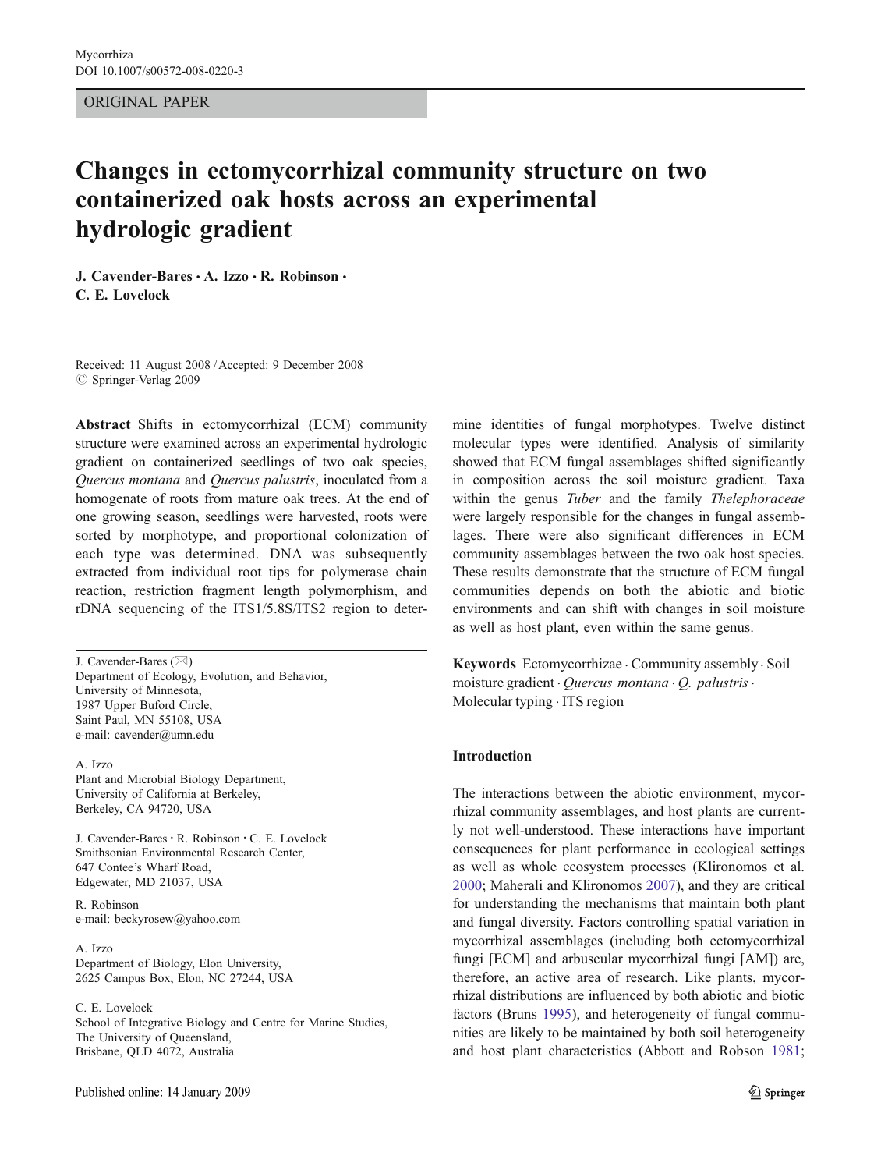ORIGINAL PAPER

# Changes in ectomycorrhizal community structure on two containerized oak hosts across an experimental hydrologic gradient

J. Cavender-Bares · A. Izzo · R. Robinson · C. E. Lovelock

Received: 11 August 2008 /Accepted: 9 December 2008  $\oslash$  Springer-Verlag 2009

Abstract Shifts in ectomycorrhizal (ECM) community structure were examined across an experimental hydrologic gradient on containerized seedlings of two oak species, Quercus montana and Quercus palustris, inoculated from a homogenate of roots from mature oak trees. At the end of one growing season, seedlings were harvested, roots were sorted by morphotype, and proportional colonization of each type was determined. DNA was subsequently extracted from individual root tips for polymerase chain reaction, restriction fragment length polymorphism, and rDNA sequencing of the ITS1/5.8S/ITS2 region to deter-

J. Cavender-Bares (*\**) Department of Ecology, Evolution, and Behavior, University of Minnesota, 1987 Upper Buford Circle, Saint Paul, MN 55108, USA e-mail: cavender@umn.edu

A. Izzo Plant and Microbial Biology Department, University of California at Berkeley, Berkeley, CA 94720, USA

J. Cavender-Bares · R. Robinson · C. E. Lovelock Smithsonian Environmental Research Center, 647 Contee's Wharf Road, Edgewater, MD 21037, USA

R. Robinson e-mail: beckyrosew@yahoo.com

A. Izzo Department of Biology, Elon University, 2625 Campus Box, Elon, NC 27244, USA

C. E. Lovelock

School of Integrative Biology and Centre for Marine Studies, The University of Queensland, Brisbane, QLD 4072, Australia

mine identities of fungal morphotypes. Twelve distinct molecular types were identified. Analysis of similarity showed that ECM fungal assemblages shifted significantly in composition across the soil moisture gradient. Taxa within the genus *Tuber* and the family *Thelephoraceae* were largely responsible for the changes in fungal assemblages. There were also significant differences in ECM community assemblages between the two oak host species. These results demonstrate that the structure of ECM fungal communities depends on both the abiotic and biotic environments and can shift with changes in soil moisture as well as host plant, even within the same genus.

Keywords Ectomycorrhizae . Community assembly . Soil moisture gradient  $\cdot$  Quercus montana  $\cdot$  Q. palustris. Molecular typing . ITS region

## Introduction

The interactions between the abiotic environment, mycorrhizal community assemblages, and host plants are currently not well-understood. These interactions have important consequences for plant performance in ecological settings as well as whole ecosystem processes (Klironomos et al. [2000](#page-8-0); Maherali and Klironomos [2007](#page-8-0)), and they are critical for understanding the mechanisms that maintain both plant and fungal diversity. Factors controlling spatial variation in mycorrhizal assemblages (including both ectomycorrhizal fungi [ECM] and arbuscular mycorrhizal fungi [AM]) are, therefore, an active area of research. Like plants, mycorrhizal distributions are influenced by both abiotic and biotic factors (Bruns [1995\)](#page-7-0), and heterogeneity of fungal communities are likely to be maintained by both soil heterogeneity and host plant characteristics (Abbott and Robson [1981;](#page-7-0)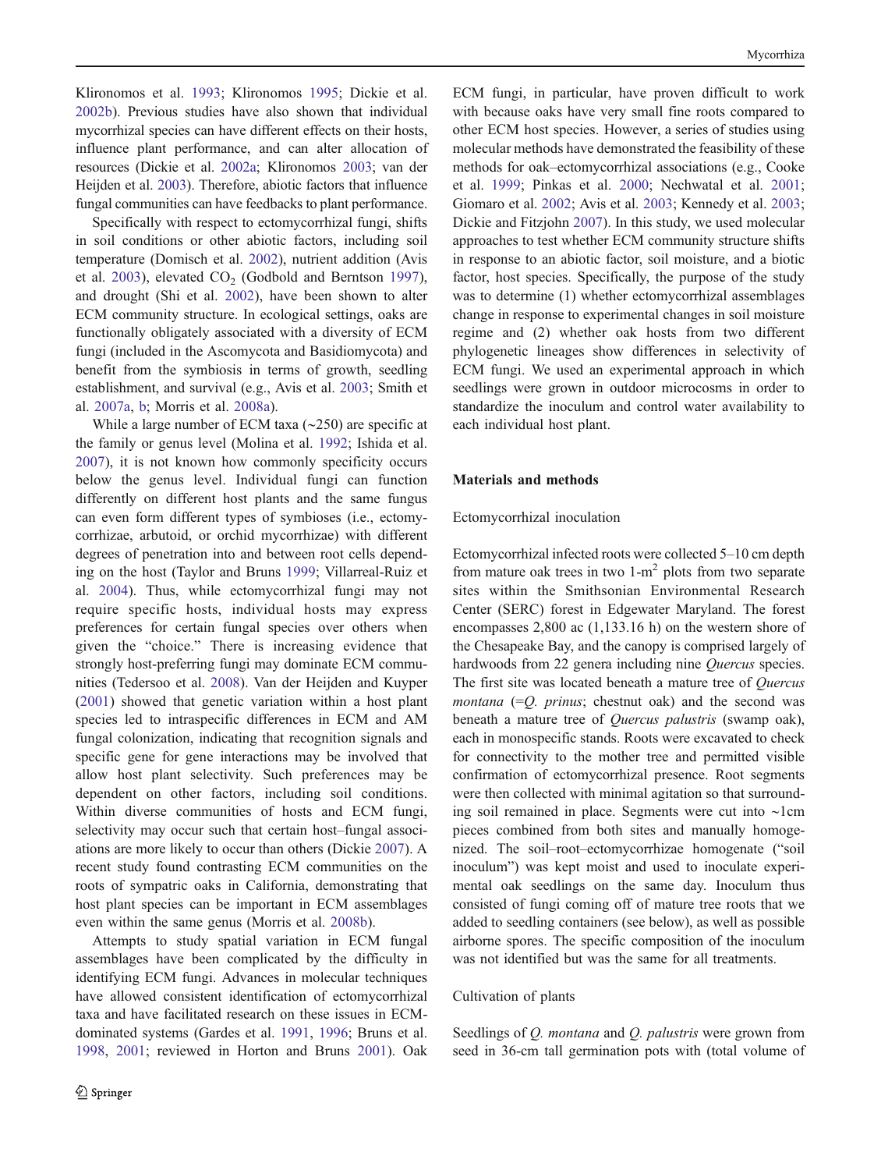Klironomos et al. [1993](#page-8-0); Klironomos [1995](#page-8-0); Dickie et al. [2002b\)](#page-7-0). Previous studies have also shown that individual mycorrhizal species can have different effects on their hosts, influence plant performance, and can alter allocation of resources (Dickie et al. [2002a](#page-7-0); Klironomos [2003;](#page-8-0) van der Heijden et al. [2003](#page-9-0)). Therefore, abiotic factors that influence fungal communities can have feedbacks to plant performance.

Specifically with respect to ectomycorrhizal fungi, shifts in soil conditions or other abiotic factors, including soil temperature (Domisch et al. [2002](#page-7-0)), nutrient addition (Avis et al. [2003\)](#page-7-0), elevated  $CO<sub>2</sub>$  (Godbold and Berntson [1997](#page-8-0)), and drought (Shi et al. [2002](#page-8-0)), have been shown to alter ECM community structure. In ecological settings, oaks are functionally obligately associated with a diversity of ECM fungi (included in the Ascomycota and Basidiomycota) and benefit from the symbiosis in terms of growth, seedling establishment, and survival (e.g., Avis et al. [2003;](#page-7-0) Smith et al. [2007a](#page-8-0), [b;](#page-8-0) Morris et al. [2008a\)](#page-8-0).

While a large number of ECM taxa (∼250) are specific at the family or genus level (Molina et al. [1992](#page-8-0); Ishida et al. [2007\)](#page-8-0), it is not known how commonly specificity occurs below the genus level. Individual fungi can function differently on different host plants and the same fungus can even form different types of symbioses (i.e., ectomycorrhizae, arbutoid, or orchid mycorrhizae) with different degrees of penetration into and between root cells depending on the host (Taylor and Bruns [1999](#page-9-0); Villarreal-Ruiz et al. [2004\)](#page-9-0). Thus, while ectomycorrhizal fungi may not require specific hosts, individual hosts may express preferences for certain fungal species over others when given the "choice." There is increasing evidence that strongly host-preferring fungi may dominate ECM communities (Tedersoo et al. [2008](#page-9-0)). Van der Heijden and Kuyper [\(2001](#page-9-0)) showed that genetic variation within a host plant species led to intraspecific differences in ECM and AM fungal colonization, indicating that recognition signals and specific gene for gene interactions may be involved that allow host plant selectivity. Such preferences may be dependent on other factors, including soil conditions. Within diverse communities of hosts and ECM fungi, selectivity may occur such that certain host–fungal associations are more likely to occur than others (Dickie [2007\)](#page-7-0). A recent study found contrasting ECM communities on the roots of sympatric oaks in California, demonstrating that host plant species can be important in ECM assemblages even within the same genus (Morris et al. [2008b](#page-8-0)).

Attempts to study spatial variation in ECM fungal assemblages have been complicated by the difficulty in identifying ECM fungi. Advances in molecular techniques have allowed consistent identification of ectomycorrhizal taxa and have facilitated research on these issues in ECMdominated systems (Gardes et al. [1991,](#page-8-0) [1996;](#page-8-0) Bruns et al. [1998,](#page-7-0) [2001;](#page-7-0) reviewed in Horton and Bruns [2001\)](#page-8-0). Oak

ECM fungi, in particular, have proven difficult to work with because oaks have very small fine roots compared to other ECM host species. However, a series of studies using molecular methods have demonstrated the feasibility of these methods for oak–ectomycorrhizal associations (e.g., Cooke et al. [1999](#page-7-0); Pinkas et al. [2000;](#page-8-0) Nechwatal et al. [2001;](#page-8-0) Giomaro et al. [2002](#page-8-0); Avis et al. [2003](#page-7-0); Kennedy et al. [2003;](#page-8-0) Dickie and Fitzjohn [2007\)](#page-7-0). In this study, we used molecular approaches to test whether ECM community structure shifts in response to an abiotic factor, soil moisture, and a biotic factor, host species. Specifically, the purpose of the study was to determine (1) whether ectomycorrhizal assemblages change in response to experimental changes in soil moisture regime and (2) whether oak hosts from two different phylogenetic lineages show differences in selectivity of ECM fungi. We used an experimental approach in which seedlings were grown in outdoor microcosms in order to standardize the inoculum and control water availability to each individual host plant.

### Materials and methods

#### Ectomycorrhizal inoculation

Ectomycorrhizal infected roots were collected 5–10 cm depth from mature oak trees in two  $1-m^2$  plots from two separate sites within the Smithsonian Environmental Research Center (SERC) forest in Edgewater Maryland. The forest encompasses 2,800 ac (1,133.16 h) on the western shore of the Chesapeake Bay, and the canopy is comprised largely of hardwoods from 22 genera including nine Quercus species. The first site was located beneath a mature tree of *Ouercus montana*  $(=Q. \text{prinus};$  chestnut oak) and the second was beneath a mature tree of Quercus palustris (swamp oak), each in monospecific stands. Roots were excavated to check for connectivity to the mother tree and permitted visible confirmation of ectomycorrhizal presence. Root segments were then collected with minimal agitation so that surrounding soil remained in place. Segments were cut into ∼1cm pieces combined from both sites and manually homogenized. The soil–root–ectomycorrhizae homogenate ("soil inoculum") was kept moist and used to inoculate experimental oak seedlings on the same day. Inoculum thus consisted of fungi coming off of mature tree roots that we added to seedling containers (see below), as well as possible airborne spores. The specific composition of the inoculum was not identified but was the same for all treatments.

## Cultivation of plants

Seedlings of  $Q$ . montana and  $Q$ . palustris were grown from seed in 36-cm tall germination pots with (total volume of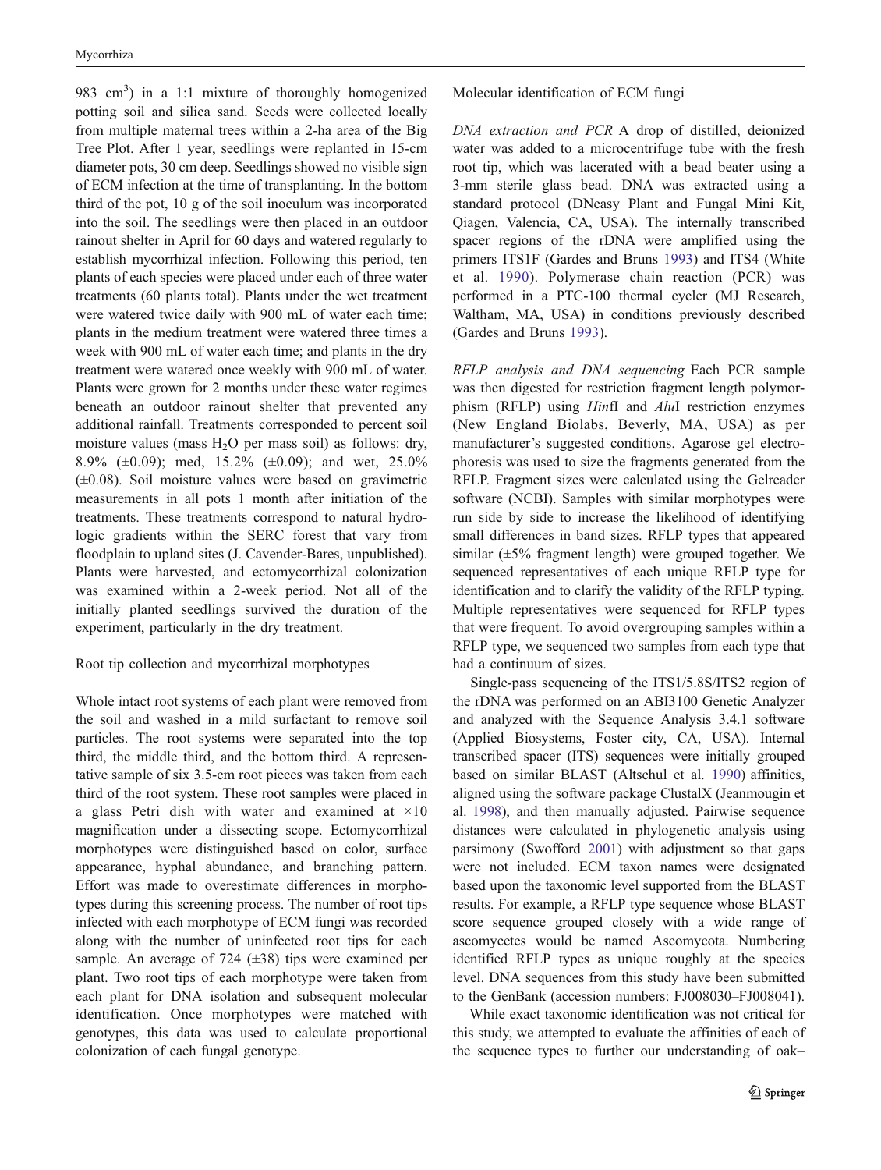983 cm<sup>3</sup>) in a 1:1 mixture of thoroughly homogenized potting soil and silica sand. Seeds were collected locally from multiple maternal trees within a 2-ha area of the Big Tree Plot. After 1 year, seedlings were replanted in 15-cm diameter pots, 30 cm deep. Seedlings showed no visible sign of ECM infection at the time of transplanting. In the bottom third of the pot, 10 g of the soil inoculum was incorporated into the soil. The seedlings were then placed in an outdoor rainout shelter in April for 60 days and watered regularly to establish mycorrhizal infection. Following this period, ten plants of each species were placed under each of three water treatments (60 plants total). Plants under the wet treatment were watered twice daily with 900 mL of water each time; plants in the medium treatment were watered three times a week with 900 mL of water each time; and plants in the dry treatment were watered once weekly with 900 mL of water. Plants were grown for 2 months under these water regimes beneath an outdoor rainout shelter that prevented any additional rainfall. Treatments corresponded to percent soil moisture values (mass  $H_2O$  per mass soil) as follows: dry, 8.9% ( $\pm$ 0.09); med, 15.2% ( $\pm$ 0.09); and wet, 25.0%  $(\pm 0.08)$ . Soil moisture values were based on gravimetric measurements in all pots 1 month after initiation of the treatments. These treatments correspond to natural hydrologic gradients within the SERC forest that vary from floodplain to upland sites (J. Cavender-Bares, unpublished). Plants were harvested, and ectomycorrhizal colonization was examined within a 2-week period. Not all of the initially planted seedlings survived the duration of the experiment, particularly in the dry treatment.

## Root tip collection and mycorrhizal morphotypes

Whole intact root systems of each plant were removed from the soil and washed in a mild surfactant to remove soil particles. The root systems were separated into the top third, the middle third, and the bottom third. A representative sample of six 3.5-cm root pieces was taken from each third of the root system. These root samples were placed in a glass Petri dish with water and examined at ×10 magnification under a dissecting scope. Ectomycorrhizal morphotypes were distinguished based on color, surface appearance, hyphal abundance, and branching pattern. Effort was made to overestimate differences in morphotypes during this screening process. The number of root tips infected with each morphotype of ECM fungi was recorded along with the number of uninfected root tips for each sample. An average of 724  $(\pm 38)$  tips were examined per plant. Two root tips of each morphotype were taken from each plant for DNA isolation and subsequent molecular identification. Once morphotypes were matched with genotypes, this data was used to calculate proportional colonization of each fungal genotype.

Molecular identification of ECM fungi

DNA extraction and PCR A drop of distilled, deionized water was added to a microcentrifuge tube with the fresh root tip, which was lacerated with a bead beater using a 3-mm sterile glass bead. DNA was extracted using a standard protocol (DNeasy Plant and Fungal Mini Kit, Qiagen, Valencia, CA, USA). The internally transcribed spacer regions of the rDNA were amplified using the primers ITS1F (Gardes and Bruns [1993\)](#page-8-0) and ITS4 (White et al. [1990](#page-9-0)). Polymerase chain reaction (PCR) was performed in a PTC-100 thermal cycler (MJ Research, Waltham, MA, USA) in conditions previously described (Gardes and Bruns [1993](#page-8-0)).

RFLP analysis and DNA sequencing Each PCR sample was then digested for restriction fragment length polymorphism (RFLP) using HinfI and AluI restriction enzymes (New England Biolabs, Beverly, MA, USA) as per manufacturer's suggested conditions. Agarose gel electrophoresis was used to size the fragments generated from the RFLP. Fragment sizes were calculated using the Gelreader software (NCBI). Samples with similar morphotypes were run side by side to increase the likelihood of identifying small differences in band sizes. RFLP types that appeared similar (±5% fragment length) were grouped together. We sequenced representatives of each unique RFLP type for identification and to clarify the validity of the RFLP typing. Multiple representatives were sequenced for RFLP types that were frequent. To avoid overgrouping samples within a RFLP type, we sequenced two samples from each type that had a continuum of sizes.

Single-pass sequencing of the ITS1/5.8S/ITS2 region of the rDNA was performed on an ABI3100 Genetic Analyzer and analyzed with the Sequence Analysis 3.4.1 software (Applied Biosystems, Foster city, CA, USA). Internal transcribed spacer (ITS) sequences were initially grouped based on similar BLAST (Altschul et al. [1990\)](#page-7-0) affinities, aligned using the software package ClustalX (Jeanmougin et al. [1998](#page-8-0)), and then manually adjusted. Pairwise sequence distances were calculated in phylogenetic analysis using parsimony (Swofford [2001](#page-8-0)) with adjustment so that gaps were not included. ECM taxon names were designated based upon the taxonomic level supported from the BLAST results. For example, a RFLP type sequence whose BLAST score sequence grouped closely with a wide range of ascomycetes would be named Ascomycota. Numbering identified RFLP types as unique roughly at the species level. DNA sequences from this study have been submitted to the GenBank (accession numbers: FJ008030–FJ008041).

While exact taxonomic identification was not critical for this study, we attempted to evaluate the affinities of each of the sequence types to further our understanding of oak–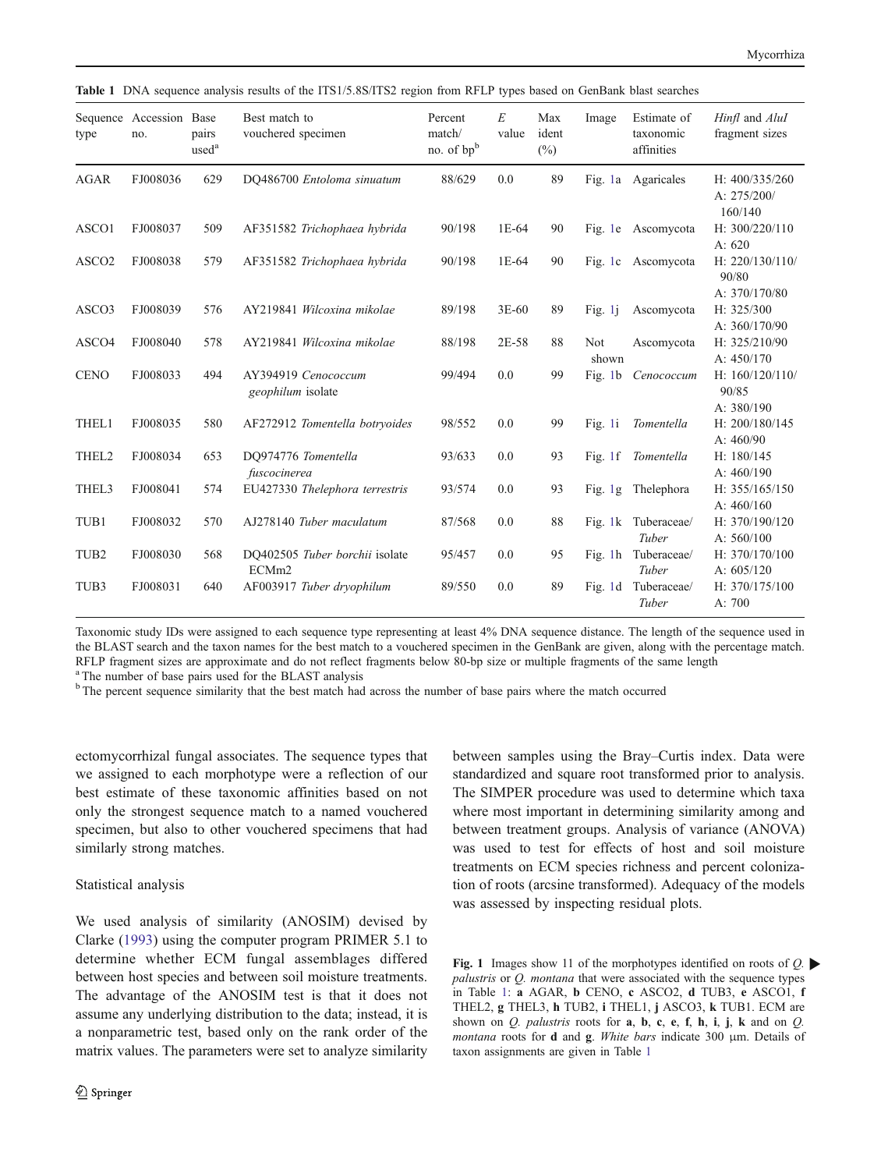<span id="page-3-0"></span>Table 1 DNA sequence analysis results of the ITS1/5.8S/ITS2 region from RFLP types based on GenBank blast searches

| type              | Sequence Accession Base<br>no. | pairs<br>used <sup>a</sup> | Best match to<br>vouchered specimen                 | Percent<br>match/<br>no. of bpb | E<br>value | Max<br>ident<br>$(\%)$ | Image        | Estimate of<br>taxonomic<br>affinities | Hinfl and AluI<br>fragment sizes           |
|-------------------|--------------------------------|----------------------------|-----------------------------------------------------|---------------------------------|------------|------------------------|--------------|----------------------------------------|--------------------------------------------|
| <b>AGAR</b>       | FJ008036                       | 629                        | DQ486700 Entoloma sinuatum                          | 88/629                          | 0.0        | 89                     |              | Fig. 1a Agaricales                     | H: 400/335/260<br>A: $275/200/$<br>160/140 |
| ASCO1             | FJ008037                       | 509                        | AF351582 Trichophaea hybrida                        | 90/198                          | 1E-64      | 90                     | Fig. 1e      | Ascomycota                             | H: 300/220/110<br>A: $620$                 |
| ASCO <sub>2</sub> | FJ008038                       | 579                        | AF351582 Trichophaea hybrida                        | 90/198                          | 1E-64      | 90                     |              | Fig. 1c Ascomycota                     | H: 220/130/110/<br>90/80<br>A: 370/170/80  |
| ASCO3             | FJ008039                       | 576                        | AY219841 Wilcoxina mikolae                          | 89/198                          | 3E-60      | 89                     | Fig. $1j$    | Ascomycota                             | H: 325/300<br>A: $360/170/90$              |
| ASCO4             | FJ008040                       | 578                        | AY219841 Wilcoxina mikolae                          | 88/198                          | 2E-58      | 88                     | Not<br>shown | Ascomycota                             | H: 325/210/90<br>A: $450/170$              |
| <b>CENO</b>       | FJ008033                       | 494                        | AY394919 Cenococcum<br>geophilum isolate            | 99/494                          | 0.0        | 99                     | Fig. $1b$    | Сепососсит                             | H: 160/120/110/<br>90/85<br>A: $380/190$   |
| THEL1             | FJ008035                       | 580                        | AF272912 Tomentella botryoides                      | 98/552                          | 0.0        | 99                     | Fig. 1i      | Tomentella                             | H: 200/180/145<br>A: $460/90$              |
| THEL <sub>2</sub> | FJ008034                       | 653                        | DQ974776 Tomentella<br>fuscocinerea                 | 93/633                          | 0.0        | 93                     | Fig. 1f      | Tomentella                             | H: 180/145<br>A: $460/190$                 |
| THEL3             | FJ008041                       | 574                        | EU427330 Thelephora terrestris                      | 93/574                          | 0.0        | 93                     | Fig. 1g      | Thelephora                             | H: 355/165/150<br>A: $460/160$             |
| TUB1              | FJ008032                       | 570                        | AJ278140 Tuber maculatum                            | 87/568                          | 0.0        | 88                     | Fig. $1k$    | Tuberaceae/<br>Tuber                   | H: 370/190/120<br>A: $560/100$             |
| TUB <sub>2</sub>  | FJ008030                       | 568                        | DO402505 Tuber borchii isolate<br>ECMm <sub>2</sub> | 95/457                          | 0.0        | 95                     | Fig. $1h$    | Tuberaceae/<br>Tuber                   | H: 370/170/100<br>A: $605/120$             |
| TUB3              | FJ008031                       | 640                        | AF003917 Tuber dryophilum                           | 89/550                          | 0.0        | 89                     | Fig. 1d      | Tuberaceae/<br>Tuber                   | H: 370/175/100<br>A: 700                   |

Taxonomic study IDs were assigned to each sequence type representing at least 4% DNA sequence distance. The length of the sequence used in the BLAST search and the taxon names for the best match to a vouchered specimen in the GenBank are given, along with the percentage match. RFLP fragment sizes are approximate and do not reflect fragments below 80-bp size or multiple fragments of the same length <sup>a</sup> The number of base pairs used for the BLAST analysis

<sup>b</sup> The percent sequence similarity that the best match had across the number of base pairs where the match occurred

ectomycorrhizal fungal associates. The sequence types that we assigned to each morphotype were a reflection of our best estimate of these taxonomic affinities based on not only the strongest sequence match to a named vouchered specimen, but also to other vouchered specimens that had similarly strong matches.

### Statistical analysis

We used analysis of similarity (ANOSIM) devised by Clarke ([1993\)](#page-7-0) using the computer program PRIMER 5.1 to determine whether ECM fungal assemblages differed between host species and between soil moisture treatments. The advantage of the ANOSIM test is that it does not assume any underlying distribution to the data; instead, it is a nonparametric test, based only on the rank order of the matrix values. The parameters were set to analyze similarity between samples using the Bray–Curtis index. Data were standardized and square root transformed prior to analysis. The SIMPER procedure was used to determine which taxa where most important in determining similarity among and between treatment groups. Analysis of variance (ANOVA) was used to test for effects of host and soil moisture treatments on ECM species richness and percent colonization of roots (arcsine transformed). Adequacy of the models was assessed by inspecting residual plots.

Fig. 1 Images show 11 of the morphotypes identified on roots of  $Q$ . palustris or Q. montana that were associated with the sequence types in Table 1: a AGAR, b CENO, c ASCO2, d TUB3, e ASCO1, f THEL2, g THEL3, h TUB2, i THEL1, j ASCO3, k TUB1. ECM are shown on  $Q$ . *palustris* roots for  $a$ ,  $b$ ,  $c$ ,  $e$ ,  $f$ ,  $h$ ,  $i$ ,  $j$ ,  $k$  and on  $Q$ . montana roots for d and g. White bars indicate 300 μm. Details of taxon assignments are given in Table 1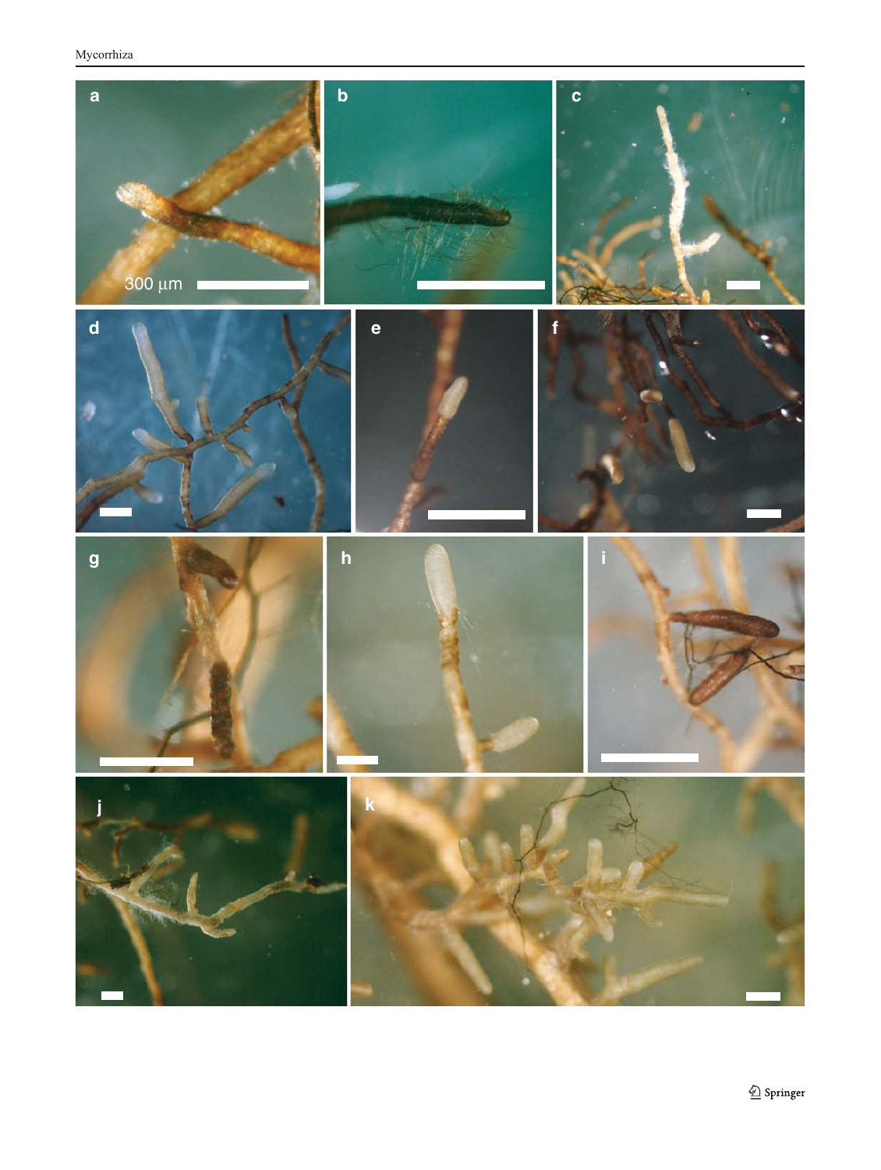Mycorrhiza

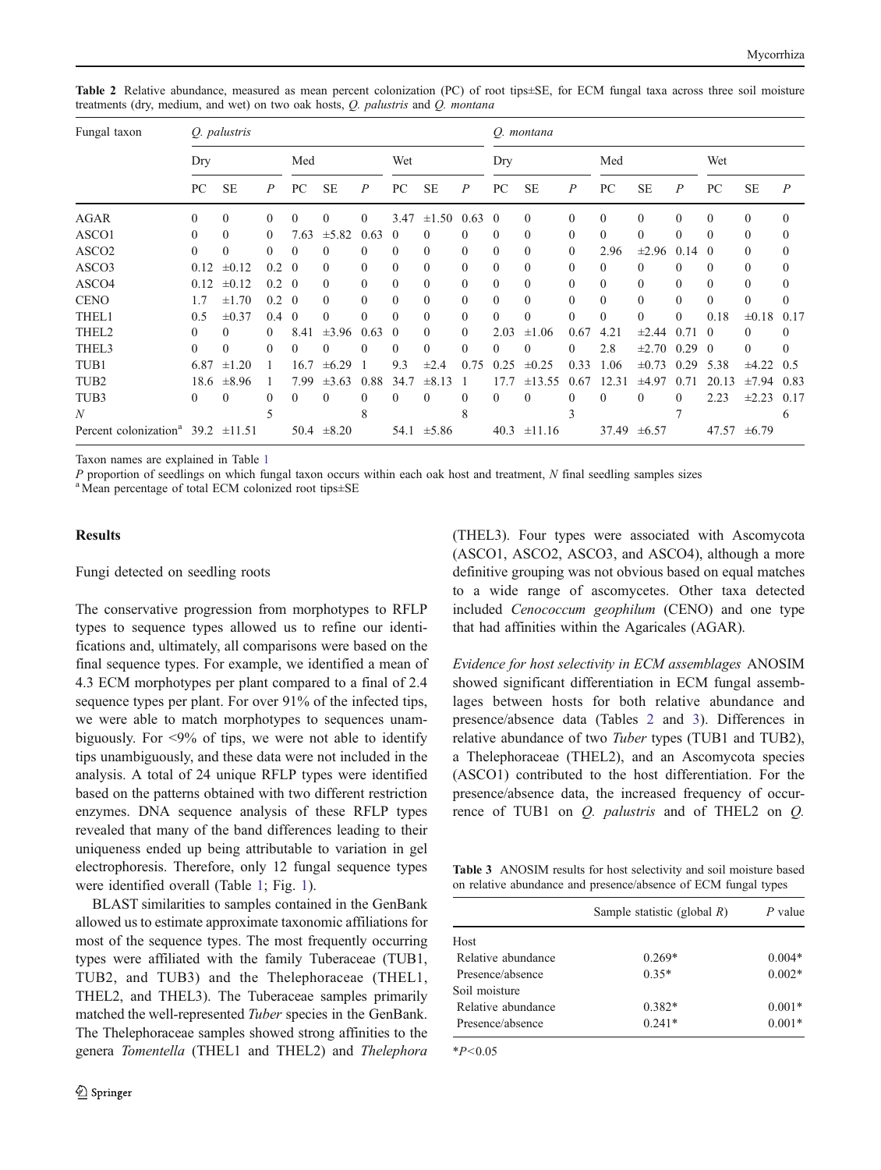| Fungal taxon                           | O. palustris |              |                |          |                 |                |          | O. montana      |                |              |              |                  |              |                  |                |          |            |                |
|----------------------------------------|--------------|--------------|----------------|----------|-----------------|----------------|----------|-----------------|----------------|--------------|--------------|------------------|--------------|------------------|----------------|----------|------------|----------------|
|                                        | Dry          |              |                | Med      |                 | Wet            |          | Dry             |                | Med          |              |                  | Wet          |                  |                |          |            |                |
|                                        | PC           | <b>SE</b>    | $\overline{P}$ | PC       | <b>SE</b>       | $\overline{P}$ | PC       | <b>SE</b>       | $\overline{P}$ | PC           | <b>SE</b>    | $\boldsymbol{P}$ | PC           | <b>SE</b>        | $\overline{P}$ | PC       | <b>SE</b>  | $\overline{P}$ |
| <b>AGAR</b>                            | $\mathbf{0}$ | $\Omega$     | $\Omega$       | $\Omega$ | $\theta$        | $\theta$       | 3.47     | $\pm 1.50$      | 0.63           | $\left($     | $\theta$     | $\Omega$         | $\mathbf{0}$ | 0                | $\Omega$       | 0        | $\Omega$   | $\Omega$       |
| ASCO1                                  | $\mathbf{0}$ | $\Omega$     | $\theta$       | 7.63     | $\pm 5.82$      | 0.63           | $\Omega$ | $\Omega$        | 0              | $\mathbf{0}$ | $\mathbf{0}$ | $\Omega$         | $\mathbf{0}$ | 0                | $\Omega$       | $\theta$ | $\theta$   | $\theta$       |
| ASCO <sub>2</sub>                      | $\theta$     | $\theta$     | $\Omega$       | $\Omega$ | $\theta$        | $\theta$       | $\Omega$ | $\Omega$        | $\Omega$       | $\Omega$     | $\mathbf{0}$ | $\Omega$         | 2.96         | $\pm 2.96$       | 0.14           | $\Omega$ | $\Omega$   | $\Omega$       |
| ASCO3                                  | 0.12         | $\pm 0.12$   | $0.2 \quad 0$  |          | $\theta$        | $\theta$       | $\theta$ | 0               | $\Omega$       | $\Omega$     | $\mathbf{0}$ | 0                | 0            | 0                | 0              | 0        | $\Omega$   | $\theta$       |
| ASCO4                                  | 0.12         | $\pm 0.12$   | $0.2 \quad 0$  |          | $\Omega$        | $\Omega$       | $\Omega$ | $\theta$        | $\Omega$       | $\Omega$     | $\Omega$     | $\Omega$         | $\theta$     | $\Omega$         | $\Omega$       | 0        | $\Omega$   | $\Omega$       |
| <b>CENO</b>                            | 1.7          | $\pm 1.70$   | $0.2 \quad 0$  |          | $\Omega$        | $\theta$       | $\Omega$ | $\Omega$        | $\theta$       | $\Omega$     | $\theta$     | $\Omega$         | $\theta$     | $\Omega$         | $\Omega$       | 0        | $\Omega$   | $\Omega$       |
| THEL1                                  | 0.5          | $\pm 0.37$   | 0.4            | $\theta$ | $\theta$        | $\theta$       | $\Omega$ | $\theta$        | $\theta$       | $\Omega$     | $\theta$     | $\Omega$         | $\theta$     | $\theta$         | $\Omega$       | 0.18     | $\pm 0.18$ | 0.17           |
| THEL <sub>2</sub>                      | $\mathbf{0}$ | $\Omega$     | $\theta$       | 8.41     | $\pm 3.96$      | 0.63           | $\Omega$ | 0               | $\Omega$       | 2.03         | $\pm 1.06$   | 0.67             | 4.21         | $\pm 2.44$       | 0.71           | $\Omega$ | $\Omega$   | $\Omega$       |
| THEL3                                  | $\theta$     | $\theta$     | $\Omega$       | $\Omega$ | $\Omega$        | $\Omega$       |          | $\Omega$        | $\theta$       | $\Omega$     | $\Omega$     |                  | 2.8          | $\pm 2.70$       | 0.29           | $\Omega$ | $\Omega$   | $\Omega$       |
| TUB1                                   | 6.87         | $\pm 1.20$   |                | 16.7     | $\pm 6.29$      |                | 9.3      | $\pm 2.4$       | 0.75           | 0.25         | $\pm 0.25$   | 0.33             | 1.06         | $\pm 0.73$       | 0.29           | 5.38     | $\pm 4.22$ | 0.5            |
| TUB <sub>2</sub>                       | 18.6         | $\pm 8.96$   | -1             | 7.99     | $\pm 3.63$      | 0.88           | 34.7     | $\pm 8.13$      | -1             | 17.7         | ±13.55       | 0.67             | 12.31        | $\pm 4.97$       | 0.71           | 20.13    | $\pm 7.94$ | 0.83           |
| TUB3                                   | $\mathbf{0}$ | $\mathbf{0}$ | $\mathbf{0}$   | $\Omega$ | $\theta$        | $\mathbf{0}$   | $\Omega$ | $\mathbf{0}$    | $\mathbf{0}$   | $\theta$     | $\mathbf{0}$ | 0                | $\mathbf{0}$ | $\theta$         | $\Omega$       | 2.23     | $\pm 2.23$ | 0.17           |
| N                                      |              |              | 5              |          |                 | 8              |          |                 | 8              |              |              | 3                |              |                  |                |          |            | 6              |
| Percent colonization <sup>a</sup> 39.2 |              | ±11.51       |                |          | 50.4 $\pm 8.20$ |                |          | 54.1 $\pm$ 5.86 |                | 40.3         | ±11.16       |                  |              | 37.49 $\pm 6.57$ |                | 47.57    | $\pm 6.79$ |                |

<span id="page-5-0"></span>Table 2 Relative abundance, measured as mean percent colonization (PC) of root tips±SE, for ECM fungal taxa across three soil moisture treatments (dry, medium, and wet) on two oak hosts, Q. palustris and Q. montana

Taxon names are explained in Table [1](#page-3-0)

 $P$  proportion of seedlings on which fungal taxon occurs within each oak host and treatment,  $N$  final seedling samples sizes

Mean percentage of total ECM colonized root tips±SE

## **Results**

#### Fungi detected on seedling roots

The conservative progression from morphotypes to RFLP types to sequence types allowed us to refine our identifications and, ultimately, all comparisons were based on the final sequence types. For example, we identified a mean of 4.3 ECM morphotypes per plant compared to a final of 2.4 sequence types per plant. For over 91% of the infected tips, we were able to match morphotypes to sequences unambiguously. For <9% of tips, we were not able to identify tips unambiguously, and these data were not included in the analysis. A total of 24 unique RFLP types were identified based on the patterns obtained with two different restriction enzymes. DNA sequence analysis of these RFLP types revealed that many of the band differences leading to their uniqueness ended up being attributable to variation in gel electrophoresis. Therefore, only 12 fungal sequence types were identified overall (Table [1](#page-3-0); Fig. [1](#page-3-0)).

BLAST similarities to samples contained in the GenBank allowed us to estimate approximate taxonomic affiliations for most of the sequence types. The most frequently occurring types were affiliated with the family Tuberaceae (TUB1, TUB2, and TUB3) and the Thelephoraceae (THEL1, THEL2, and THEL3). The Tuberaceae samples primarily matched the well-represented Tuber species in the GenBank. The Thelephoraceae samples showed strong affinities to the genera Tomentella (THEL1 and THEL2) and Thelephora (THEL3). Four types were associated with Ascomycota (ASCO1, ASCO2, ASCO3, and ASCO4), although a more definitive grouping was not obvious based on equal matches to a wide range of ascomycetes. Other taxa detected included Cenococcum geophilum (CENO) and one type that had affinities within the Agaricales (AGAR).

Evidence for host selectivity in ECM assemblages ANOSIM showed significant differentiation in ECM fungal assemblages between hosts for both relative abundance and presence/absence data (Tables 2 and 3). Differences in relative abundance of two Tuber types (TUB1 and TUB2), a Thelephoraceae (THEL2), and an Ascomycota species (ASCO1) contributed to the host differentiation. For the presence/absence data, the increased frequency of occurrence of TUB1 on Q. *palustris* and of THEL2 on Q.

Table 3 ANOSIM results for host selectivity and soil moisture based on relative abundance and presence/absence of ECM fungal types

| Sample statistic (global $R$ ) | $P$ value |
|--------------------------------|-----------|
|                                |           |
| $0.269*$                       | $0.004*$  |
| $0.35*$                        | $0.002*$  |
|                                |           |
| $0.382*$                       | $0.001*$  |
| $0.241*$                       | $0.001*$  |
|                                |           |

 $*P<0.05$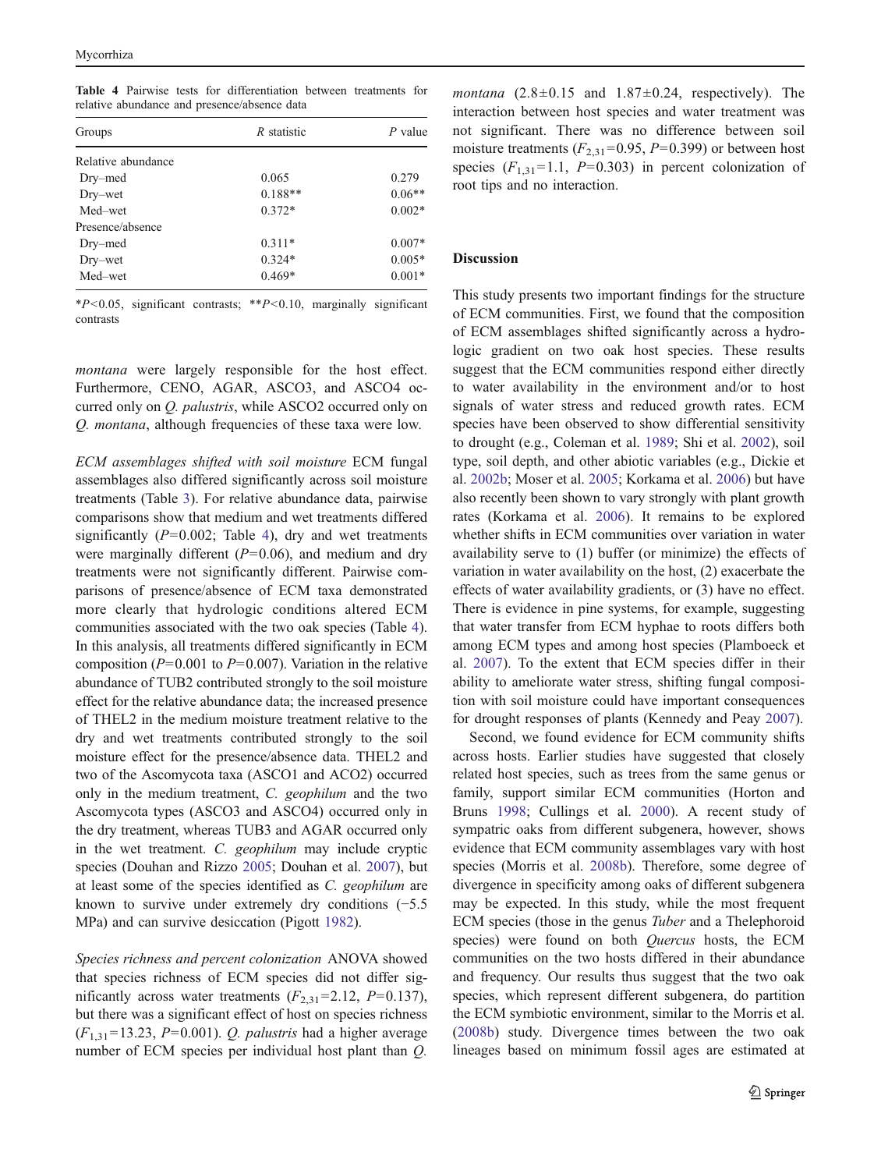Table 4 Pairwise tests for differentiation between treatments for relative abundance and presence/absence data

| Groups             | R statistic | $P$ value |  |  |
|--------------------|-------------|-----------|--|--|
| Relative abundance |             |           |  |  |
| Dry–med            | 0.065       | 0.279     |  |  |
| Dry–wet            | $0.188**$   | $0.06**$  |  |  |
| Med-wet            | $0.372*$    | $0.002*$  |  |  |
| Presence/absence   |             |           |  |  |
| Dry-med            | $0.311*$    | $0.007*$  |  |  |
| Dry–wet            | $0.324*$    | $0.005*$  |  |  |
| Med-wet            | $0.469*$    | $0.001*$  |  |  |

 $*P<0.05$ , significant contrasts;  $*P<0.10$ , marginally significant contrasts

montana were largely responsible for the host effect. Furthermore, CENO, AGAR, ASCO3, and ASCO4 occurred only on Q. palustris, while ASCO2 occurred only on Q. montana, although frequencies of these taxa were low.

ECM assemblages shifted with soil moisture ECM fungal assemblages also differed significantly across soil moisture treatments (Table [3\)](#page-5-0). For relative abundance data, pairwise comparisons show that medium and wet treatments differed significantly  $(P=0.002;$  Table 4), dry and wet treatments were marginally different  $(P=0.06)$ , and medium and dry treatments were not significantly different. Pairwise comparisons of presence/absence of ECM taxa demonstrated more clearly that hydrologic conditions altered ECM communities associated with the two oak species (Table 4). In this analysis, all treatments differed significantly in ECM composition ( $P=0.001$  to  $P=0.007$ ). Variation in the relative abundance of TUB2 contributed strongly to the soil moisture effect for the relative abundance data; the increased presence of THEL2 in the medium moisture treatment relative to the dry and wet treatments contributed strongly to the soil moisture effect for the presence/absence data. THEL2 and two of the Ascomycota taxa (ASCO1 and ACO2) occurred only in the medium treatment, C. geophilum and the two Ascomycota types (ASCO3 and ASCO4) occurred only in the dry treatment, whereas TUB3 and AGAR occurred only in the wet treatment. C. geophilum may include cryptic species (Douhan and Rizzo [2005;](#page-7-0) Douhan et al. [2007\)](#page-7-0), but at least some of the species identified as C. geophilum are known to survive under extremely dry conditions  $(-5.5)$ MPa) and can survive desiccation (Pigott [1982](#page-8-0)).

Species richness and percent colonization ANOVA showed that species richness of ECM species did not differ significantly across water treatments  $(F_{2,31}=2.12, P=0.137)$ , but there was a significant effect of host on species richness  $(F_{1,31}=13.23, P=0.001)$ . Q. palustris had a higher average number of ECM species per individual host plant than Q.

*montana*  $(2.8\pm0.15$  and  $1.87\pm0.24$ , respectively). The interaction between host species and water treatment was not significant. There was no difference between soil moisture treatments  $(F_{2,31}=0.95, P=0.399)$  or between host species  $(F_{1,31}=1.1, P=0.303)$  in percent colonization of root tips and no interaction.

# Discussion

This study presents two important findings for the structure of ECM communities. First, we found that the composition of ECM assemblages shifted significantly across a hydrologic gradient on two oak host species. These results suggest that the ECM communities respond either directly to water availability in the environment and/or to host signals of water stress and reduced growth rates. ECM species have been observed to show differential sensitivity to drought (e.g., Coleman et al. [1989](#page-7-0); Shi et al. [2002](#page-8-0)), soil type, soil depth, and other abiotic variables (e.g., Dickie et al. [2002b](#page-7-0); Moser et al. [2005](#page-8-0); Korkama et al. [2006\)](#page-8-0) but have also recently been shown to vary strongly with plant growth rates (Korkama et al. [2006\)](#page-8-0). It remains to be explored whether shifts in ECM communities over variation in water availability serve to (1) buffer (or minimize) the effects of variation in water availability on the host, (2) exacerbate the effects of water availability gradients, or (3) have no effect. There is evidence in pine systems, for example, suggesting that water transfer from ECM hyphae to roots differs both among ECM types and among host species (Plamboeck et al. [2007](#page-8-0)). To the extent that ECM species differ in their ability to ameliorate water stress, shifting fungal composition with soil moisture could have important consequences for drought responses of plants (Kennedy and Peay [2007\)](#page-8-0).

Second, we found evidence for ECM community shifts across hosts. Earlier studies have suggested that closely related host species, such as trees from the same genus or family, support similar ECM communities (Horton and Bruns [1998;](#page-8-0) Cullings et al. [2000](#page-7-0)). A recent study of sympatric oaks from different subgenera, however, shows evidence that ECM community assemblages vary with host species (Morris et al. [2008b](#page-8-0)). Therefore, some degree of divergence in specificity among oaks of different subgenera may be expected. In this study, while the most frequent ECM species (those in the genus Tuber and a Thelephoroid species) were found on both *Quercus* hosts, the ECM communities on the two hosts differed in their abundance and frequency. Our results thus suggest that the two oak species, which represent different subgenera, do partition the ECM symbiotic environment, similar to the Morris et al. [\(2008b](#page-8-0)) study. Divergence times between the two oak lineages based on minimum fossil ages are estimated at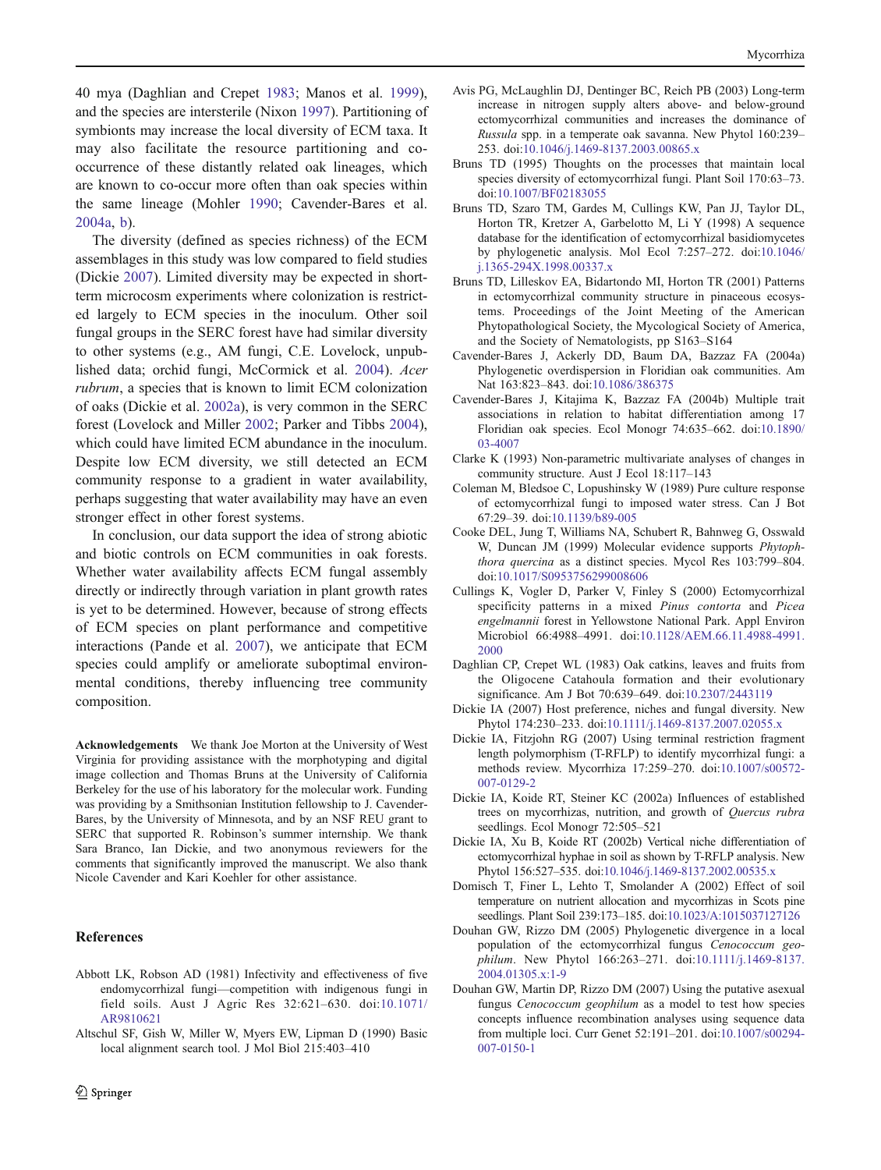<span id="page-7-0"></span>40 mya (Daghlian and Crepet 1983; Manos et al. [1999](#page-8-0)), and the species are intersterile (Nixon [1997](#page-8-0)). Partitioning of symbionts may increase the local diversity of ECM taxa. It may also facilitate the resource partitioning and cooccurrence of these distantly related oak lineages, which are known to co-occur more often than oak species within the same lineage (Mohler [1990](#page-8-0); Cavender-Bares et al. 2004a, b).

The diversity (defined as species richness) of the ECM assemblages in this study was low compared to field studies (Dickie 2007). Limited diversity may be expected in shortterm microcosm experiments where colonization is restricted largely to ECM species in the inoculum. Other soil fungal groups in the SERC forest have had similar diversity to other systems (e.g., AM fungi, C.E. Lovelock, unpublished data; orchid fungi, McCormick et al. [2004](#page-8-0)). Acer rubrum, a species that is known to limit ECM colonization of oaks (Dickie et al. 2002a), is very common in the SERC forest (Lovelock and Miller [2002;](#page-8-0) Parker and Tibbs [2004](#page-8-0)), which could have limited ECM abundance in the inoculum. Despite low ECM diversity, we still detected an ECM community response to a gradient in water availability, perhaps suggesting that water availability may have an even stronger effect in other forest systems.

In conclusion, our data support the idea of strong abiotic and biotic controls on ECM communities in oak forests. Whether water availability affects ECM fungal assembly directly or indirectly through variation in plant growth rates is yet to be determined. However, because of strong effects of ECM species on plant performance and competitive interactions (Pande et al. [2007](#page-8-0)), we anticipate that ECM species could amplify or ameliorate suboptimal environmental conditions, thereby influencing tree community composition.

Acknowledgements We thank Joe Morton at the University of West Virginia for providing assistance with the morphotyping and digital image collection and Thomas Bruns at the University of California Berkeley for the use of his laboratory for the molecular work. Funding was providing by a Smithsonian Institution fellowship to J. Cavender-Bares, by the University of Minnesota, and by an NSF REU grant to SERC that supported R. Robinson's summer internship. We thank Sara Branco, Ian Dickie, and two anonymous reviewers for the comments that significantly improved the manuscript. We also thank Nicole Cavender and Kari Koehler for other assistance.

## References

- Abbott LK, Robson AD (1981) Infectivity and effectiveness of five endomycorrhizal fungi—competition with indigenous fungi in field soils. Aust J Agric Res 32:621–630. doi[:10.1071/](dx.doi.org/10.1071/AR9810621) [AR9810621](dx.doi.org/10.1071/AR9810621)
- Altschul SF, Gish W, Miller W, Myers EW, Lipman D (1990) Basic local alignment search tool. J Mol Biol 215:403–410
- Avis PG, McLaughlin DJ, Dentinger BC, Reich PB (2003) Long-term increase in nitrogen supply alters above- and below-ground ectomycorrhizal communities and increases the dominance of Russula spp. in a temperate oak savanna. New Phytol 160:239– 253. doi:[10.1046/j.1469-8137.2003.00865.x](dx.doi.org/10.1046/j.1469-8137.2003.00865.x)
- Bruns TD (1995) Thoughts on the processes that maintain local species diversity of ectomycorrhizal fungi. Plant Soil 170:63–73. doi[:10.1007/BF02183055](dx.doi.org/10.1007/BF02183055)
- Bruns TD, Szaro TM, Gardes M, Cullings KW, Pan JJ, Taylor DL, Horton TR, Kretzer A, Garbelotto M, Li Y (1998) A sequence database for the identification of ectomycorrhizal basidiomycetes by phylogenetic analysis. Mol Ecol 7:257–272. doi[:10.1046/](dx.doi.org/10.1046/j.1365-294X.1998.00337.x) [j.1365-294X.1998.00337.x](dx.doi.org/10.1046/j.1365-294X.1998.00337.x)
- Bruns TD, Lilleskov EA, Bidartondo MI, Horton TR (2001) Patterns in ectomycorrhizal community structure in pinaceous ecosystems. Proceedings of the Joint Meeting of the American Phytopathological Society, the Mycological Society of America, and the Society of Nematologists, pp S163–S164
- Cavender-Bares J, Ackerly DD, Baum DA, Bazzaz FA (2004a) Phylogenetic overdispersion in Floridian oak communities. Am Nat 163:823–843. doi:[10.1086/386375](dx.doi.org/10.1086/386375)
- Cavender-Bares J, Kitajima K, Bazzaz FA (2004b) Multiple trait associations in relation to habitat differentiation among 17 Floridian oak species. Ecol Monogr 74:635–662. doi[:10.1890/](dx.doi.org/10.1890/03-4007) [03-4007](dx.doi.org/10.1890/03-4007)
- Clarke K (1993) Non-parametric multivariate analyses of changes in community structure. Aust J Ecol 18:117–143
- Coleman M, Bledsoe C, Lopushinsky W (1989) Pure culture response of ectomycorrhizal fungi to imposed water stress. Can J Bot 67:29–39. doi:[10.1139/b89-005](dx.doi.org/10.1139/b89-005)
- Cooke DEL, Jung T, Williams NA, Schubert R, Bahnweg G, Osswald W, Duncan JM (1999) Molecular evidence supports Phytophthora quercina as a distinct species. Mycol Res 103:799–804. doi[:10.1017/S0953756299008606](dx.doi.org/10.1017/S0953756299008606)
- Cullings K, Vogler D, Parker V, Finley S (2000) Ectomycorrhizal specificity patterns in a mixed Pinus contorta and Picea engelmannii forest in Yellowstone National Park. Appl Environ Microbiol 66:4988–4991. doi:[10.1128/AEM.66.11.4988-4991.](dx.doi.org/10.1128/AEM.66.11.4988-4991.2000) [2000](dx.doi.org/10.1128/AEM.66.11.4988-4991.2000)
- Daghlian CP, Crepet WL (1983) Oak catkins, leaves and fruits from the Oligocene Catahoula formation and their evolutionary significance. Am J Bot 70:639–649. doi[:10.2307/2443119](dx.doi.org/10.2307/2443119)
- Dickie IA (2007) Host preference, niches and fungal diversity. New Phytol 174:230–233. doi[:10.1111/j.1469-8137.2007.02055.x](dx.doi.org/10.1111/j.1469-8137.2007.02055.x)
- Dickie IA, Fitzjohn RG (2007) Using terminal restriction fragment length polymorphism (T-RFLP) to identify mycorrhizal fungi: a methods review. Mycorrhiza 17:259–270. doi[:10.1007/s00572-](dx.doi.org/10.1007/s00572-007-0129-2) [007-0129-2](dx.doi.org/10.1007/s00572-007-0129-2)
- Dickie IA, Koide RT, Steiner KC (2002a) Influences of established trees on mycorrhizas, nutrition, and growth of Quercus rubra seedlings. Ecol Monogr 72:505–521
- Dickie IA, Xu B, Koide RT (2002b) Vertical niche differentiation of ectomycorrhizal hyphae in soil as shown by T-RFLP analysis. New Phytol 156:527–535. doi[:10.1046/j.1469-8137.2002.00535.x](dx.doi.org/10.1046/j.1469-8137.2002.00535.x)
- Domisch T, Finer L, Lehto T, Smolander A (2002) Effect of soil temperature on nutrient allocation and mycorrhizas in Scots pine seedlings. Plant Soil 239:173–185. doi[:10.1023/A:1015037127126](dx.doi.org/10.1023/A:1015037127126)
- Douhan GW, Rizzo DM (2005) Phylogenetic divergence in a local population of the ectomycorrhizal fungus Cenococcum geophilum. New Phytol 166:263–271. doi[:10.1111/j.1469-8137.](dx.doi.org/10.1111/j.1469-8137.2004.01305.x:1-9) [2004.01305.x:1-9](dx.doi.org/10.1111/j.1469-8137.2004.01305.x:1-9)
- Douhan GW, Martin DP, Rizzo DM (2007) Using the putative asexual fungus Cenococcum geophilum as a model to test how species concepts influence recombination analyses using sequence data from multiple loci. Curr Genet 52:191–201. doi[:10.1007/s00294-](dx.doi.org/10.1007/s00294-007-0150-1) [007-0150-1](dx.doi.org/10.1007/s00294-007-0150-1)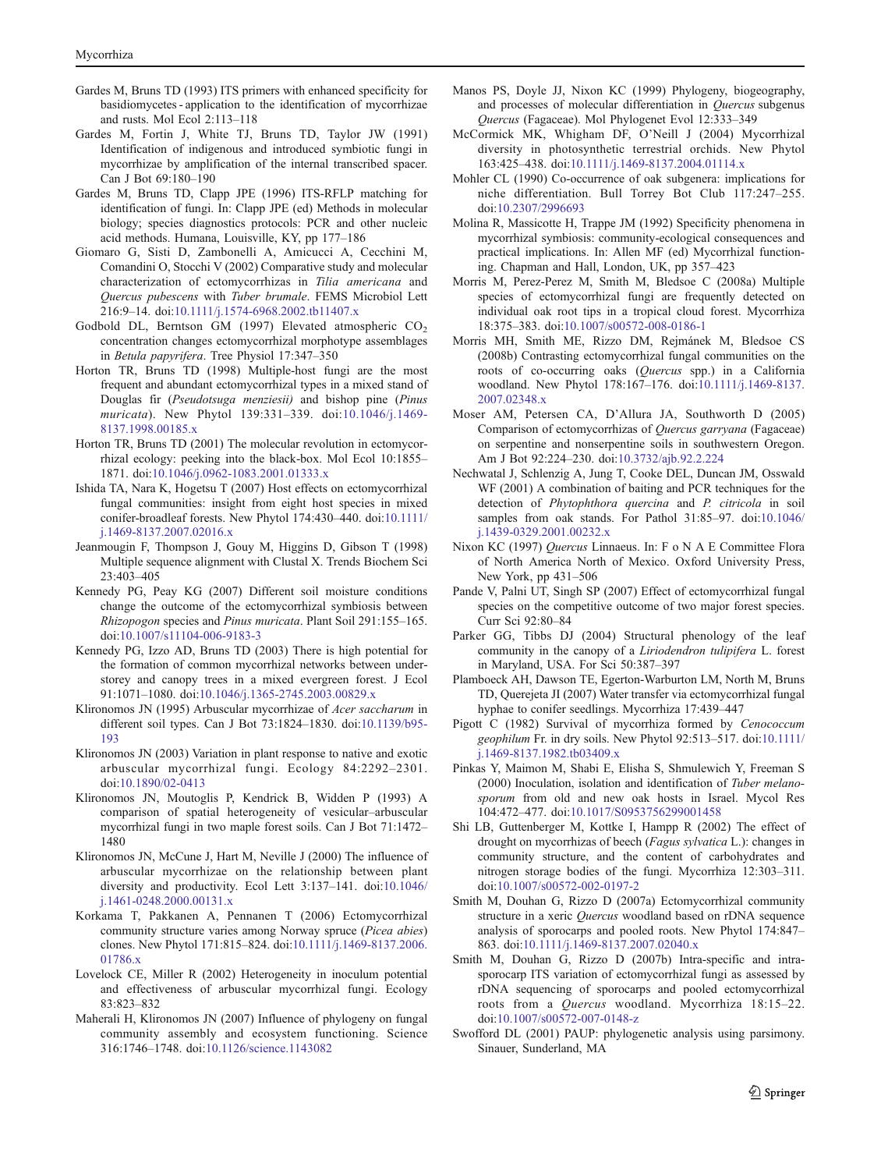- <span id="page-8-0"></span>Gardes M, Bruns TD (1993) ITS primers with enhanced specificity for basidiomycetes - application to the identification of mycorrhizae and rusts. Mol Ecol 2:113–118
- Gardes M, Fortin J, White TJ, Bruns TD, Taylor JW (1991) Identification of indigenous and introduced symbiotic fungi in mycorrhizae by amplification of the internal transcribed spacer. Can J Bot 69:180–190
- Gardes M, Bruns TD, Clapp JPE (1996) ITS-RFLP matching for identification of fungi. In: Clapp JPE (ed) Methods in molecular biology; species diagnostics protocols: PCR and other nucleic acid methods. Humana, Louisville, KY, pp 177–186
- Giomaro G, Sisti D, Zambonelli A, Amicucci A, Cecchini M, Comandini O, Stocchi V (2002) Comparative study and molecular characterization of ectomycorrhizas in Tilia americana and Quercus pubescens with Tuber brumale. FEMS Microbiol Lett 216:9–14. doi:[10.1111/j.1574-6968.2002.tb11407.x](dx.doi.org/10.1111/j.1574-6968.2002.tb11407.x)
- Godbold DL, Berntson GM (1997) Elevated atmospheric  $CO<sub>2</sub>$ concentration changes ectomycorrhizal morphotype assemblages in Betula papyrifera. Tree Physiol 17:347–350
- Horton TR, Bruns TD (1998) Multiple-host fungi are the most frequent and abundant ectomycorrhizal types in a mixed stand of Douglas fir (Pseudotsuga menziesii) and bishop pine (Pinus muricata). New Phytol 139:331–339. doi:[10.1046/j.1469-](dx.doi.org/10.1046/j.1469-8137.1998.00185.x) [8137.1998.00185.x](dx.doi.org/10.1046/j.1469-8137.1998.00185.x)
- Horton TR, Bruns TD (2001) The molecular revolution in ectomycorrhizal ecology: peeking into the black-box. Mol Ecol 10:1855– 1871. doi:[10.1046/j.0962-1083.2001.01333.x](dx.doi.org/10.1046/j.0962-1083.2001.01333.x)
- Ishida TA, Nara K, Hogetsu T (2007) Host effects on ectomycorrhizal fungal communities: insight from eight host species in mixed conifer-broadleaf forests. New Phytol 174:430–440. doi[:10.1111/](dx.doi.org/10.1111/j.1469-8137.2007.02016.x) [j.1469-8137.2007.02016.x](dx.doi.org/10.1111/j.1469-8137.2007.02016.x)
- Jeanmougin F, Thompson J, Gouy M, Higgins D, Gibson T (1998) Multiple sequence alignment with Clustal X. Trends Biochem Sci 23:403–405
- Kennedy PG, Peay KG (2007) Different soil moisture conditions change the outcome of the ectomycorrhizal symbiosis between Rhizopogon species and Pinus muricata. Plant Soil 291:155–165. doi[:10.1007/s11104-006-9183-3](dx.doi.org/10.1007/s11104-006-9183-3)
- Kennedy PG, Izzo AD, Bruns TD (2003) There is high potential for the formation of common mycorrhizal networks between understorey and canopy trees in a mixed evergreen forest. J Ecol 91:1071–1080. doi:[10.1046/j.1365-2745.2003.00829.x](dx.doi.org/10.1046/j.1365-2745.2003.00829.x)
- Klironomos JN (1995) Arbuscular mycorrhizae of Acer saccharum in different soil types. Can J Bot 73:1824–1830. doi[:10.1139/b95-](dx.doi.org/10.1139/b95-193) [193](dx.doi.org/10.1139/b95-193)
- Klironomos JN (2003) Variation in plant response to native and exotic arbuscular mycorrhizal fungi. Ecology 84:2292–2301. doi[:10.1890/02-0413](dx.doi.org/10.1890/02-0413)
- Klironomos JN, Moutoglis P, Kendrick B, Widden P (1993) A comparison of spatial heterogeneity of vesicular–arbuscular mycorrhizal fungi in two maple forest soils. Can J Bot 71:1472– 1480
- Klironomos JN, McCune J, Hart M, Neville J (2000) The influence of arbuscular mycorrhizae on the relationship between plant diversity and productivity. Ecol Lett 3:137–141. doi[:10.1046/](dx.doi.org/10.1046/j.1461-0248.2000.00131.x) [j.1461-0248.2000.00131.x](dx.doi.org/10.1046/j.1461-0248.2000.00131.x)
- Korkama T, Pakkanen A, Pennanen T (2006) Ectomycorrhizal community structure varies among Norway spruce (Picea abies) clones. New Phytol 171:815–824. doi:[10.1111/j.1469-8137.2006.](dx.doi.org/10.1111/j.1469-8137.2006.01786.x) [01786.x](dx.doi.org/10.1111/j.1469-8137.2006.01786.x)
- Lovelock CE, Miller R (2002) Heterogeneity in inoculum potential and effectiveness of arbuscular mycorrhizal fungi. Ecology 83:823–832
- Maherali H, Klironomos JN (2007) Influence of phylogeny on fungal community assembly and ecosystem functioning. Science 316:1746–1748. doi[:10.1126/science.1143082](dx.doi.org/10.1126/science.1143082)
- Manos PS, Doyle JJ, Nixon KC (1999) Phylogeny, biogeography, and processes of molecular differentiation in Quercus subgenus Quercus (Fagaceae). Mol Phylogenet Evol 12:333–349
- McCormick MK, Whigham DF, O'Neill J (2004) Mycorrhizal diversity in photosynthetic terrestrial orchids. New Phytol 163:425–438. doi:[10.1111/j.1469-8137.2004.01114.x](dx.doi.org/10.1111/j.1469-8137.2004.01114.x)
- Mohler CL (1990) Co-occurrence of oak subgenera: implications for niche differentiation. Bull Torrey Bot Club 117:247–255. doi[:10.2307/2996693](dx.doi.org/10.2307/2996693)
- Molina R, Massicotte H, Trappe JM (1992) Specificity phenomena in mycorrhizal symbiosis: community-ecological consequences and practical implications. In: Allen MF (ed) Mycorrhizal functioning. Chapman and Hall, London, UK, pp 357–423
- Morris M, Perez-Perez M, Smith M, Bledsoe C (2008a) Multiple species of ectomycorrhizal fungi are frequently detected on individual oak root tips in a tropical cloud forest. Mycorrhiza 18:375–383. doi[:10.1007/s00572-008-0186-1](dx.doi.org/10.1007/s00572-008-0186-1)
- Morris MH, Smith ME, Rizzo DM, Rejmánek M, Bledsoe CS (2008b) Contrasting ectomycorrhizal fungal communities on the roots of co-occurring oaks (Quercus spp.) in a California woodland. New Phytol 178:167–176. doi[:10.1111/j.1469-8137.](dx.doi.org/10.1111/j.1469-8137.2007.02348.x) [2007.02348.x](dx.doi.org/10.1111/j.1469-8137.2007.02348.x)
- Moser AM, Petersen CA, D'Allura JA, Southworth D (2005) Comparison of ectomycorrhizas of Quercus garryana (Fagaceae) on serpentine and nonserpentine soils in southwestern Oregon. Am J Bot 92:224–230. doi:[10.3732/ajb.92.2.224](dx.doi.org/10.3732/ajb.92.2.224)
- Nechwatal J, Schlenzig A, Jung T, Cooke DEL, Duncan JM, Osswald WF (2001) A combination of baiting and PCR techniques for the detection of Phytophthora quercina and P. citricola in soil samples from oak stands. For Pathol 31:85–97. doi[:10.1046/](dx.doi.org/10.1046/j.1439-0329.2001.00232.x) [j.1439-0329.2001.00232.x](dx.doi.org/10.1046/j.1439-0329.2001.00232.x)
- Nixon KC (1997) Quercus Linnaeus. In: F o N A E Committee Flora of North America North of Mexico. Oxford University Press, New York, pp 431–506
- Pande V, Palni UT, Singh SP (2007) Effect of ectomycorrhizal fungal species on the competitive outcome of two major forest species. Curr Sci 92:80–84
- Parker GG, Tibbs DJ (2004) Structural phenology of the leaf community in the canopy of a Liriodendron tulipifera L. forest in Maryland, USA. For Sci 50:387–397
- Plamboeck AH, Dawson TE, Egerton-Warburton LM, North M, Bruns TD, Querejeta JI (2007) Water transfer via ectomycorrhizal fungal hyphae to conifer seedlings. Mycorrhiza 17:439–447
- Pigott C (1982) Survival of mycorrhiza formed by Cenococcum geophilum Fr. in dry soils. New Phytol 92:513–517. doi[:10.1111/](dx.doi.org/10.1111/j.1469-8137.1982.tb03409.x) [j.1469-8137.1982.tb03409.x](dx.doi.org/10.1111/j.1469-8137.1982.tb03409.x)
- Pinkas Y, Maimon M, Shabi E, Elisha S, Shmulewich Y, Freeman S (2000) Inoculation, isolation and identification of Tuber melanosporum from old and new oak hosts in Israel. Mycol Res 104:472–477. doi:[10.1017/S0953756299001458](dx.doi.org/10.1017/S0953756299001458)
- Shi LB, Guttenberger M, Kottke I, Hampp R (2002) The effect of drought on mycorrhizas of beech (Fagus sylvatica L.): changes in community structure, and the content of carbohydrates and nitrogen storage bodies of the fungi. Mycorrhiza 12:303–311. doi[:10.1007/s00572-002-0197-2](dx.doi.org/10.1007/s00572-002-0197-2)
- Smith M, Douhan G, Rizzo D (2007a) Ectomycorrhizal community structure in a xeric Quercus woodland based on rDNA sequence analysis of sporocarps and pooled roots. New Phytol 174:847– 863. doi:[10.1111/j.1469-8137.2007.02040.x](dx.doi.org/10.1111/j.1469-8137.2007.02040.x)
- Smith M, Douhan G, Rizzo D (2007b) Intra-specific and intrasporocarp ITS variation of ectomycorrhizal fungi as assessed by rDNA sequencing of sporocarps and pooled ectomycorrhizal roots from a Quercus woodland. Mycorrhiza 18:15–22. doi[:10.1007/s00572-007-0148-z](dx.doi.org/10.1007/s00572-007-0148-z)
- Swofford DL (2001) PAUP: phylogenetic analysis using parsimony. Sinauer, Sunderland, MA